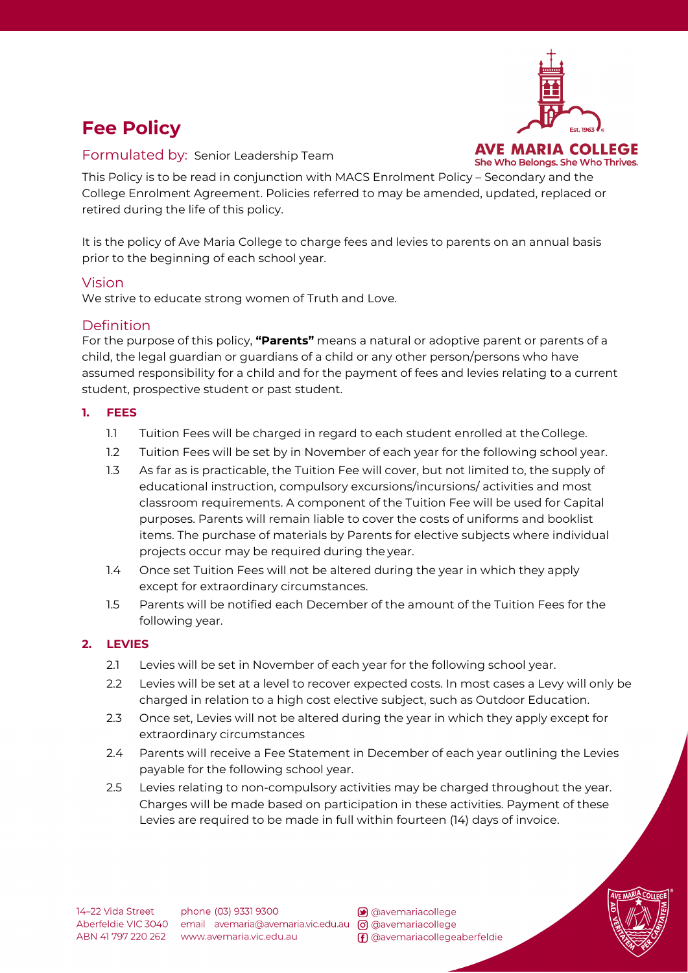# **Fee Policy**



Formulated by:Senior Leadership Team

This Policy is to be read in conjunction with MACS Enrolment Policy – Secondary and the College Enrolment Agreement. Policies referred to may be amended, updated, replaced or retired during the life of this policy.

It is the policy of Ave Maria College to charge fees and levies to parents on an annual basis prior to the beginning of each school year.

# Vision

We strive to educate strong women of Truth and Love.

# Definition

For the purpose of this policy, **"Parents"** means a natural or adoptive parent or parents of a child, the legal guardian or guardians of a child or any other person/persons who have assumed responsibility for a child and for the payment of fees and levies relating to a current student, prospective student or past student.

# **1. FEES**

- 1.1 Tuition Fees will be charged in regard to each student enrolled at the College.
- 1.2 Tuition Fees will be set by in November of each year for the following school year.
- 1.3 As far as is practicable, the Tuition Fee will cover, but not limited to, the supply of educational instruction, compulsory excursions/incursions/ activities and most classroom requirements. A component of the Tuition Fee will be used for Capital purposes. Parents will remain liable to cover the costs of uniforms and booklist items. The purchase of materials by Parents for elective subjects where individual projects occur may be required during the year.
- 1.4 Once set Tuition Fees will not be altered during the year in which they apply except for extraordinary circumstances.
- 1.5 Parents will be notified each December of the amount of the Tuition Fees for the following year.

## **2. LEVIES**

- 2.1 Levies will be set in November of each year for the following school year.
- 2.2 Levies will be set at a level to recover expected costs. In most cases a Levy will only be charged in relation to a high cost elective subject, such as Outdoor Education.
- 2.3 Once set, Levies will not be altered during the year in which they apply except for extraordinary circumstances
- 2.4 Parents will receive a Fee Statement in December of each year outlining the Levies payable for the following school year.
- 2.5 Levies relating to non-compulsory activities may be charged throughout the year. Charges will be made based on participation in these activities. Payment of these Levies are required to be made in full within fourteen (14) days of invoice.

avemariacollege (F) @avemariacollegeaberfeldie

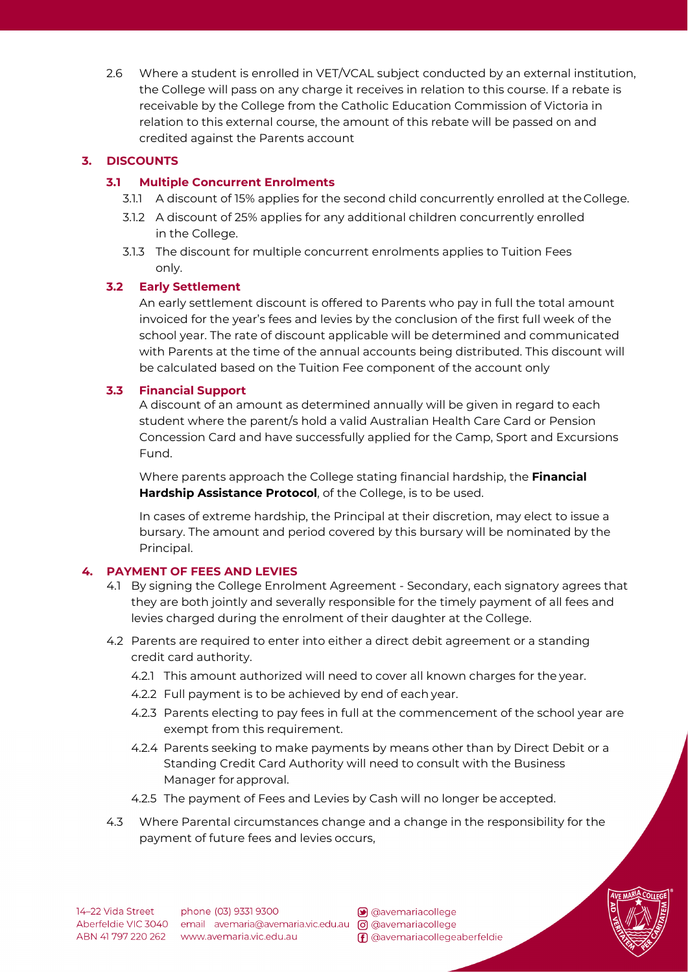2.6 Where a student is enrolled in VET/VCAL subject conducted by an external institution, the College will pass on any charge it receives in relation to this course. If a rebate is receivable by the College from the Catholic Education Commission of Victoria in relation to this external course, the amount of this rebate will be passed on and credited against the Parents account

# **3. DISCOUNTS**

## **3.1 Multiple Concurrent Enrolments**

- 3.1.1 A discount of 15% applies for the second child concurrently enrolled at the College.
- 3.1.2 A discount of 25% applies for any additional children concurrently enrolled in the College.
- 3.1.3 The discount for multiple concurrent enrolments applies to Tuition Fees only.

# **3.2 Early Settlement**

An early settlement discount is offered to Parents who pay in full the total amount invoiced for the year's fees and levies by the conclusion of the first full week of the school year. The rate of discount applicable will be determined and communicated with Parents at the time of the annual accounts being distributed. This discount will be calculated based on the Tuition Fee component of the account only

# **3.3 Financial Support**

A discount of an amount as determined annually will be given in regard to each student where the parent/s hold a valid Australian Health Care Card or Pension Concession Card and have successfully applied for the Camp, Sport and Excursions Fund.

Where parents approach the College stating financial hardship, the **Financial Hardship Assistance Protocol**, of the College, is to be used.

In cases of extreme hardship, the Principal at their discretion, may elect to issue a bursary. The amount and period covered by this bursary will be nominated by the Principal.

# **4. PAYMENT OF FEES AND LEVIES**

- 4.1 By signing the College Enrolment Agreement Secondary, each signatory agrees that they are both jointly and severally responsible for the timely payment of all fees and levies charged during the enrolment of their daughter at the College.
- 4.2 Parents are required to enter into either a direct debit agreement or a standing credit card authority.
	- 4.2.1 This amount authorized will need to cover all known charges for the year.
	- 4.2.2 Full payment is to be achieved by end of each year.
	- 4.2.3 Parents electing to pay fees in full at the commencement of the school year are exempt from this requirement.
	- 4.2.4 Parents seeking to make payments by means other than by Direct Debit or a Standing Credit Card Authority will need to consult with the Business Manager forapproval.
	- 4.2.5 The payment of Fees and Levies by Cash will no longer be accepted.
- 4.3 Where Parental circumstances change and a change in the responsibility for the payment of future fees and levies occurs,



avemariacollege (F) @avemariacollegeaberfeldie

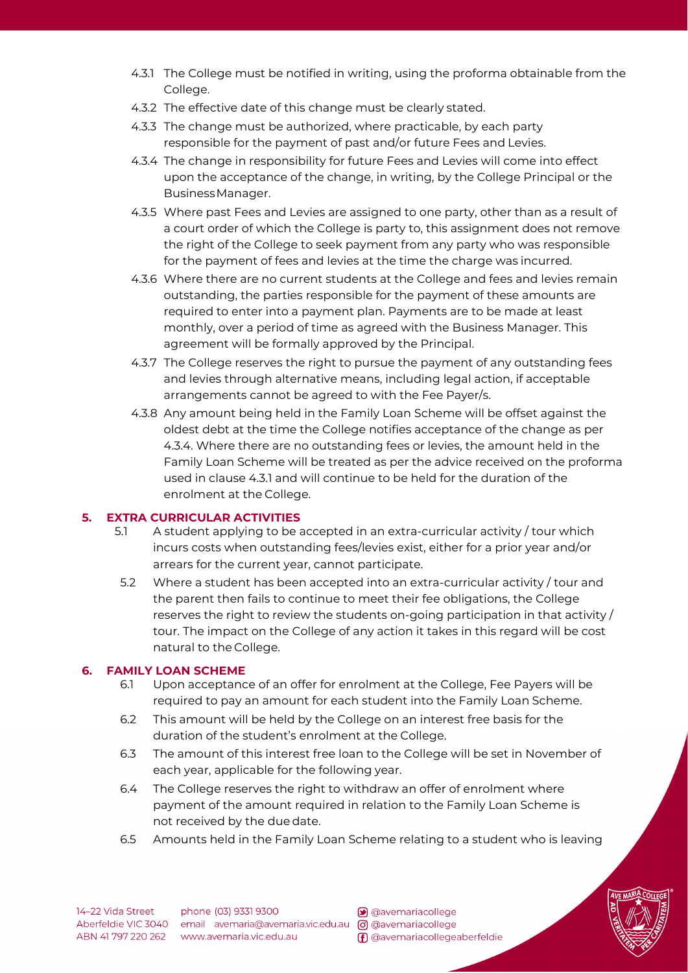- 4.3.1 The College must be notified in writing, using the proforma obtainable from the College.
- 4.3.2 The effective date of this change must be clearly stated.
- 4.3.3 The change must be authorized, where practicable, by each party responsible for the payment of past and/or future Fees and Levies.
- 4.3.4 The change in responsibility for future Fees and Levies will come into effect upon the acceptance of the change, in writing, by the College Principal or the BusinessManager.
- 4.3.5 Where past Fees and Levies are assigned to one party, other than as a result of a court order of which the College is party to, this assignment does not remove the right of the College to seek payment from any party who was responsible for the payment of fees and levies at the time the charge was incurred.
- 4.3.6 Where there are no current students at the College and fees and levies remain outstanding, the parties responsible for the payment of these amounts are required to enter into a payment plan. Payments are to be made at least monthly, over a period of time as agreed with the Business Manager. This agreement will be formally approved by the Principal.
- 4.3.7 The College reserves the right to pursue the payment of any outstanding fees and levies through alternative means, including legal action, if acceptable arrangements cannot be agreed to with the Fee Payer/s.
- 4.3.8 Any amount being held in the Family Loan Scheme will be offset against the oldest debt at the time the College notifies acceptance of the change as per 4.3.4. Where there are no outstanding fees or levies, the amount held in the Family Loan Scheme will be treated as per the advice received on the proforma used in clause 4.3.1 and will continue to be held for the duration of the enrolment at the College.

# **5. EXTRA CURRICULAR ACTIVITIES**

- 5.1 A student applying to be accepted in an extra-curricular activity / tour which incurs costs when outstanding fees/levies exist, either for a prior year and/or arrears for the current year, cannot participate.
- 5.2 Where a student has been accepted into an extra-curricular activity / tour and the parent then fails to continue to meet their fee obligations, the College reserves the right to review the students on-going participation in that activity / tour. The impact on the College of any action it takes in this regard will be cost natural to the College.

## **6. FAMILY LOAN SCHEME**

- 6.1 Upon acceptance of an offer for enrolment at the College, Fee Payers will be required to pay an amount for each student into the Family Loan Scheme.
- 6.2 This amount will be held by the College on an interest free basis for the duration of the student's enrolment at the College.
- 6.3 The amount of this interest free loan to the College will be set in November of each year, applicable for the following year.
- 6.4 The College reserves the right to withdraw an offer of enrolment where payment of the amount required in relation to the Family Loan Scheme is not received by the due date.
- 6.5 Amounts held in the Family Loan Scheme relating to a student who is leaving



avemariacollege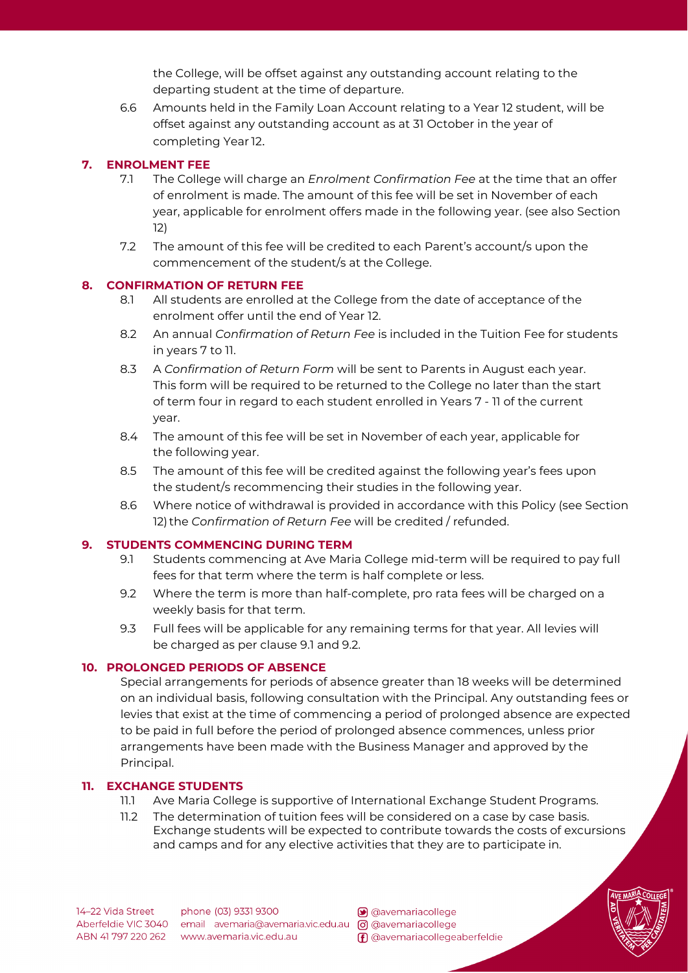the College, will be offset against any outstanding account relating to the departing student at the time of departure.

6.6 Amounts held in the Family Loan Account relating to a Year 12 student, will be offset against any outstanding account as at 31 October in the year of completing Year 12.

# **7. ENROLMENT FEE**

- 7.1 The College will charge an *Enrolment Confirmation Fee* at the time that an offer of enrolment is made. The amount of this fee will be set in November of each year, applicable for enrolment offers made in the following year. (see also Section 12)
- 7.2 The amount of this fee will be credited to each Parent's account/s upon the commencement of the student/s at the College.

## **8. CONFIRMATION OF RETURN FEE**

- 8.1 All students are enrolled at the College from the date of acceptance of the enrolment offer until the end of Year 12.
- 8.2 An annual *Confirmation of Return Fee* is included in the Tuition Fee for students in years 7 to 11.
- 8.3 A *Confirmation of Return Form* will be sent to Parents in August each year. This form will be required to be returned to the College no later than the start of term four in regard to each student enrolled in Years 7 - 11 of the current year.
- 8.4 The amount of this fee will be set in November of each year, applicable for the following year.
- 8.5 The amount of this fee will be credited against the following year's fees upon the student/s recommencing their studies in the following year.
- 8.6 Where notice of withdrawal is provided in accordance with this Policy (see Section 12) the *Confirmation of Return Fee* will be credited / refunded.

## **9. STUDENTS COMMENCING DURING TERM**

- 9.1 Students commencing at Ave Maria College mid-term will be required to pay full fees for that term where the term is half complete or less.
- 9.2 Where the term is more than half-complete, pro rata fees will be charged on a weekly basis for that term.
- 9.3 Full fees will be applicable for any remaining terms for that year. All levies will be charged as per clause 9.1 and 9.2.

## **10. PROLONGED PERIODS OF ABSENCE**

Special arrangements for periods of absence greater than 18 weeks will be determined on an individual basis, following consultation with the Principal. Any outstanding fees or levies that exist at the time of commencing a period of prolonged absence are expected to be paid in full before the period of prolonged absence commences, unless prior arrangements have been made with the Business Manager and approved by the Principal.

## **11. EXCHANGE STUDENTS**

- 11.1 Ave Maria College is supportive of International Exchange Student Programs.
- 11.2 The determination of tuition fees will be considered on a case by case basis. Exchange students will be expected to contribute towards the costs of excursions and camps and for any elective activities that they are to participate in.

14-22 Vida Street

phone (03) 9331 9300 Aberfeldie VIC 3040 email avemaria@avemaria.vic.edu.au [o] @avemariacollege ABN 41 797 220 262 www.avemaria.vic.edu.au

avemariacollege (F) @avemariacollegeaberfeldie

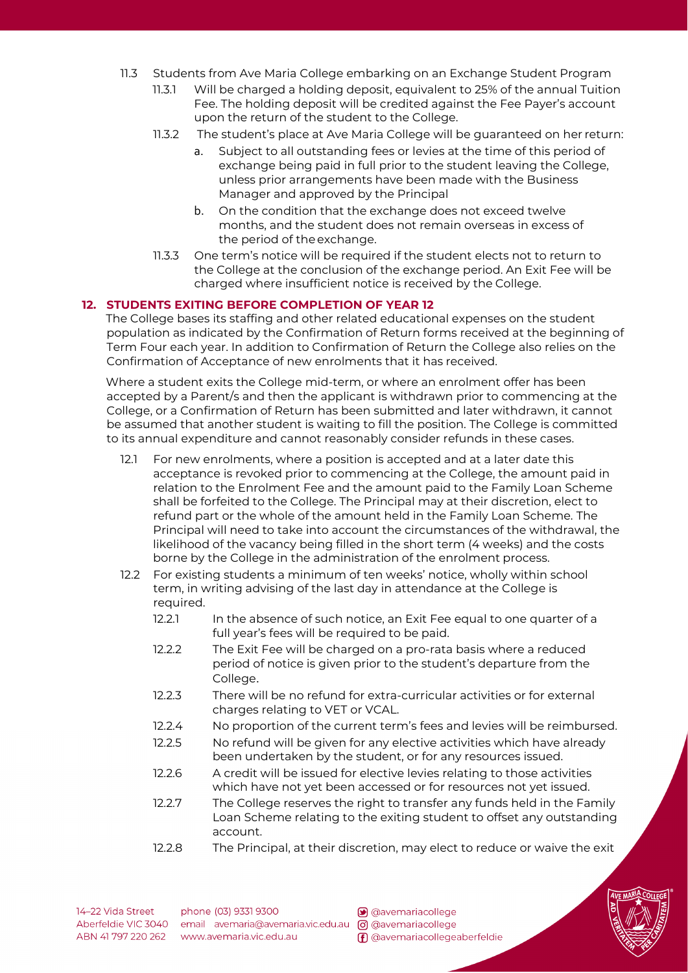- 11.3 Students from Ave Maria College embarking on an Exchange Student Program
	- 11.3.1 Will be charged a holding deposit, equivalent to 25% of the annual Tuition Fee. The holding deposit will be credited against the Fee Payer's account upon the return of the student to the College.
	- 11.3.2 The student's place at Ave Maria College will be guaranteed on her return:
		- a. Subject to all outstanding fees or levies at the time of this period of exchange being paid in full prior to the student leaving the College, unless prior arrangements have been made with the Business Manager and approved by the Principal
		- b. On the condition that the exchange does not exceed twelve months, and the student does not remain overseas in excess of the period of theexchange.
	- 11.3.3 One term's notice will be required if the student elects not to return to the College at the conclusion of the exchange period. An Exit Fee will be charged where insufficient notice is received by the College.

#### **12. STUDENTS EXITING BEFORE COMPLETION OF YEAR 12**

The College bases its staffing and other related educational expenses on the student population as indicated by the Confirmation of Return forms received at the beginning of Term Four each year. In addition to Confirmation of Return the College also relies on the Confirmation of Acceptance of new enrolments that it has received.

Where a student exits the College mid-term, or where an enrolment offer has been accepted by a Parent/s and then the applicant is withdrawn prior to commencing at the College, or a Confirmation of Return has been submitted and later withdrawn, it cannot be assumed that another student is waiting to fill the position. The College is committed to its annual expenditure and cannot reasonably consider refunds in these cases.

- 12.1 For new enrolments, where a position is accepted and at a later date this acceptance is revoked prior to commencing at the College, the amount paid in relation to the Enrolment Fee and the amount paid to the Family Loan Scheme shall be forfeited to the College. The Principal may at their discretion, elect to refund part or the whole of the amount held in the Family Loan Scheme. The Principal will need to take into account the circumstances of the withdrawal, the likelihood of the vacancy being filled in the short term (4 weeks) and the costs borne by the College in the administration of the enrolment process.
- 12.2 For existing students a minimum of ten weeks' notice, wholly within school term, in writing advising of the last day in attendance at the College is required.
	- 12.2.1 In the absence of such notice, an Exit Fee equal to one quarter of a full year's fees will be required to be paid.
	- 12.2.2 The Exit Fee will be charged on a pro-rata basis where a reduced period of notice is given prior to the student's departure from the College.
	- 12.2.3 There will be no refund for extra-curricular activities or for external charges relating to VET or VCAL.
	- 12.2.4 No proportion of the current term's fees and levies will be reimbursed.
	- 12.2.5 No refund will be given for any elective activities which have already been undertaken by the student, or for any resources issued.
	- 12.2.6 A credit will be issued for elective levies relating to those activities which have not yet been accessed or for resources not yet issued.
	- 12.2.7 The College reserves the right to transfer any funds held in the Family Loan Scheme relating to the exiting student to offset any outstanding account.
	- 12.2.8 The Principal, at their discretion, may elect to reduce or waive the exit

14-22 Vida Street

phone (03) 9331 9300 Aberfeldie VIC 3040 email avemaria@avemaria.vic.edu.au @ @avemariacollege ABN 41 797 220 262 www.avemaria.vic.edu.au

avemariacollege

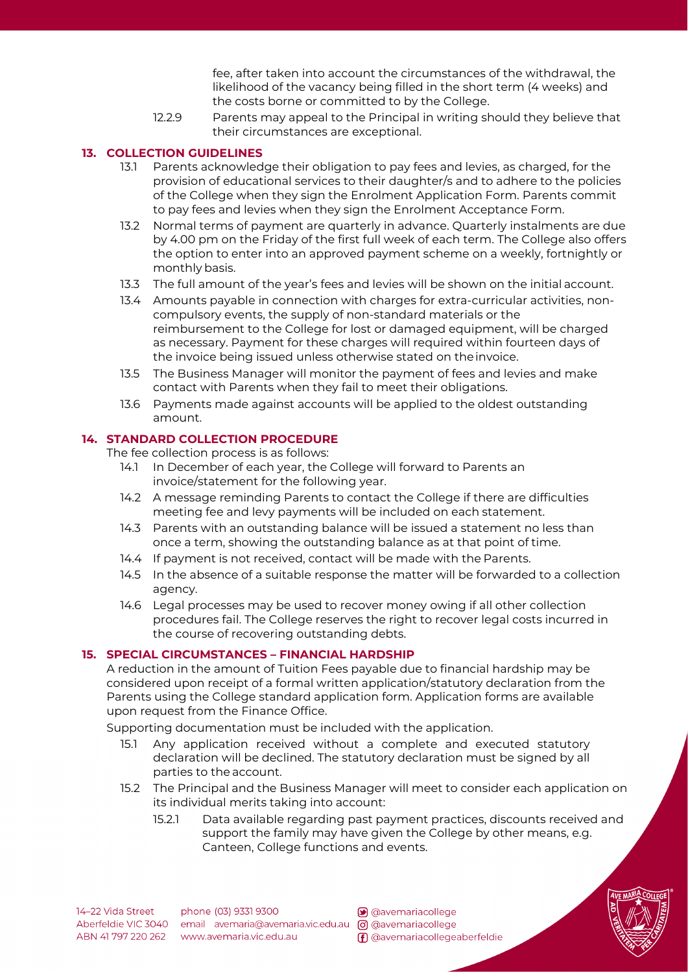fee, after taken into account the circumstances of the withdrawal, the likelihood of the vacancy being filled in the short term (4 weeks) and the costs borne or committed to by the College.

12.2.9 Parents may appeal to the Principal in writing should they believe that their circumstances are exceptional.

#### **13. COLLECTION GUIDELINES**

- 13.1 Parents acknowledge their obligation to pay fees and levies, as charged, for the provision of educational services to their daughter/s and to adhere to the policies of the College when they sign the Enrolment Application Form. Parents commit to pay fees and levies when they sign the Enrolment Acceptance Form.
- 13.2 Normal terms of payment are quarterly in advance. Quarterly instalments are due by 4.00 pm on the Friday of the first full week of each term. The College also offers the option to enter into an approved payment scheme on a weekly, fortnightly or monthly basis.
- 13.3 The full amount of the year's fees and levies will be shown on the initial account.
- 13.4 Amounts payable in connection with charges for extra-curricular activities, noncompulsory events, the supply of non-standard materials or the reimbursement to the College for lost or damaged equipment, will be charged as necessary. Payment for these charges will required within fourteen days of the invoice being issued unless otherwise stated on theinvoice.
- 13.5 The Business Manager will monitor the payment of fees and levies and make contact with Parents when they fail to meet their obligations.
- 13.6 Payments made against accounts will be applied to the oldest outstanding amount.

## **14. STANDARD COLLECTION PROCEDURE**

The fee collection process is as follows:

- 14.1 In December of each year, the College will forward to Parents an invoice/statement for the following year.
- 14.2 A message reminding Parents to contact the College if there are difficulties meeting fee and levy payments will be included on each statement.
- 14.3 Parents with an outstanding balance will be issued a statement no less than once a term, showing the outstanding balance as at that point of time.
- 14.4 If payment is not received, contact will be made with the Parents.
- 14.5 In the absence of a suitable response the matter will be forwarded to a collection agency.
- 14.6 Legal processes may be used to recover money owing if all other collection procedures fail. The College reserves the right to recover legal costs incurred in the course of recovering outstanding debts.

## **15. SPECIAL CIRCUMSTANCES – FINANCIAL HARDSHIP**

A reduction in the amount of Tuition Fees payable due to financial hardship may be considered upon receipt of a formal written application/statutory declaration from the Parents using the College standard application form. Application forms are available upon request from the Finance Office.

Supporting documentation must be included with the application.

- 15.1 Any application received without a complete and executed statutory declaration will be declined. The statutory declaration must be signed by all parties to the account.
- 15.2 The Principal and the Business Manager will meet to consider each application on its individual merits taking into account:
	- 15.2.1 Data available regarding past payment practices, discounts received and support the family may have given the College by other means, e.g. Canteen, College functions and events.



phone (03) 9331 9300 Aberfeldie VIC 3040 email avemaria@avemaria.vic.edu.au [o] @avemariacollege ABN 41 797 220 262 www.avemaria.vic.edu.au

avemariacollege